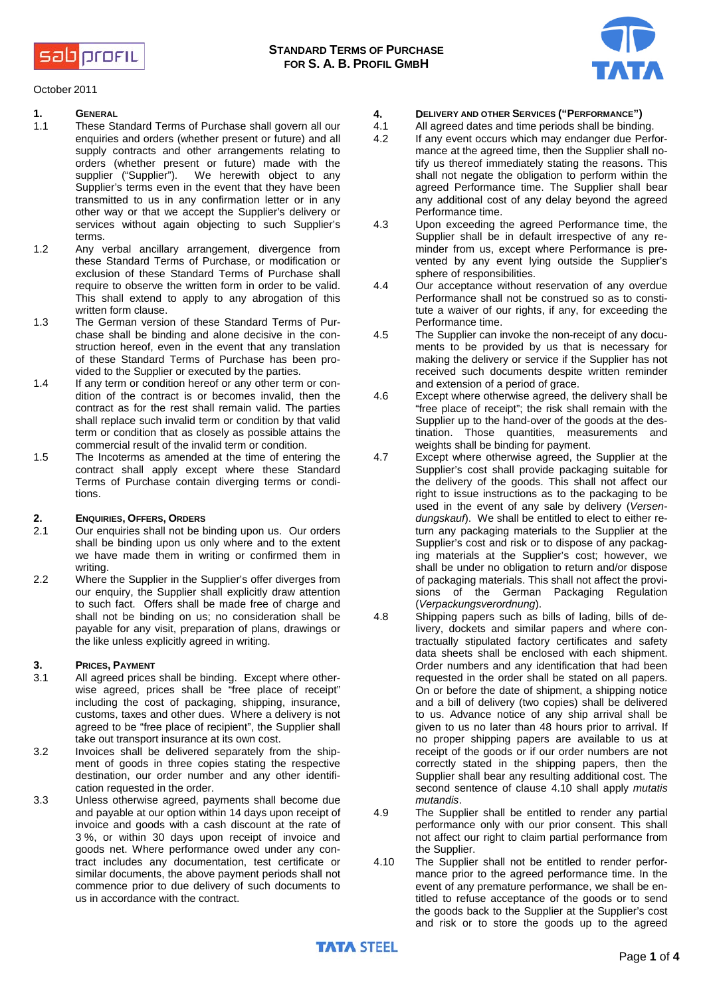sab profit



October 2011

## **1. GENERAL**

- These Standard Terms of Purchase shall govern all our enquiries and orders (whether present or future) and all supply contracts and other arrangements relating to orders (whether present or future) made with the supplier ("Supplier"). We herewith object to any We herewith object to any Supplier's terms even in the event that they have been transmitted to us in any confirmation letter or in any other way or that we accept the Supplier's delivery or services without again objecting to such Supplier's terms.
- 1.2 Any verbal ancillary arrangement, divergence from these Standard Terms of Purchase, or modification or exclusion of these Standard Terms of Purchase shall require to observe the written form in order to be valid. This shall extend to apply to any abrogation of this written form clause.
- 1.3 The German version of these Standard Terms of Purchase shall be binding and alone decisive in the construction hereof, even in the event that any translation of these Standard Terms of Purchase has been provided to the Supplier or executed by the parties.
- 1.4 If any term or condition hereof or any other term or condition of the contract is or becomes invalid, then the contract as for the rest shall remain valid. The parties shall replace such invalid term or condition by that valid term or condition that as closely as possible attains the commercial result of the invalid term or condition.
- 1.5 The Incoterms as amended at the time of entering the contract shall apply except where these Standard Terms of Purchase contain diverging terms or conditions.

# **2. ENQUIRIES, OFFERS, ORDERS**

- Our enquiries shall not be binding upon us. Our orders shall be binding upon us only where and to the extent we have made them in writing or confirmed them in writing.
- 2.2 Where the Supplier in the Supplier's offer diverges from our enquiry, the Supplier shall explicitly draw attention to such fact. Offers shall be made free of charge and shall not be binding on us; no consideration shall be payable for any visit, preparation of plans, drawings or the like unless explicitly agreed in writing.

# **3. PRICES, PAYMENT**

- 3.1 All agreed prices shall be binding. Except where otherwise agreed, prices shall be "free place of receipt" including the cost of packaging, shipping, insurance, customs, taxes and other dues. Where a delivery is not agreed to be "free place of recipient", the Supplier shall take out transport insurance at its own cost.
- 3.2 Invoices shall be delivered separately from the shipment of goods in three copies stating the respective destination, our order number and any other identification requested in the order.
- 3.3 Unless otherwise agreed, payments shall become due and payable at our option within 14 days upon receipt of invoice and goods with a cash discount at the rate of 3 %, or within 30 days upon receipt of invoice and goods net. Where performance owed under any contract includes any documentation, test certificate or similar documents, the above payment periods shall not commence prior to due delivery of such documents to us in accordance with the contract.
- **4. DELIVERY AND OTHER SERVICES ("PERFORMANCE")**
- 4.1 All agreed dates and time periods shall be binding.<br>4.2 If any event occurs which may endanger due Perf
- If any event occurs which may endanger due Performance at the agreed time, then the Supplier shall notify us thereof immediately stating the reasons. This shall not negate the obligation to perform within the agreed Performance time. The Supplier shall bear any additional cost of any delay beyond the agreed Performance time.
- 4.3 Upon exceeding the agreed Performance time, the Supplier shall be in default irrespective of any reminder from us, except where Performance is prevented by any event lying outside the Supplier's sphere of responsibilities.
- 4.4 Our acceptance without reservation of any overdue Performance shall not be construed so as to constitute a waiver of our rights, if any, for exceeding the Performance time.
- 4.5 The Supplier can invoke the non-receipt of any documents to be provided by us that is necessary for making the delivery or service if the Supplier has not received such documents despite written reminder and extension of a period of grace.
- 4.6 Except where otherwise agreed, the delivery shall be "free place of receipt"; the risk shall remain with the Supplier up to the hand-over of the goods at the destination. Those quantities, measurements and weights shall be binding for payment.
- 4.7 Except where otherwise agreed, the Supplier at the Supplier's cost shall provide packaging suitable for the delivery of the goods. This shall not affect our right to issue instructions as to the packaging to be used in the event of any sale by delivery (*Versendungskauf*). We shall be entitled to elect to either return any packaging materials to the Supplier at the Supplier's cost and risk or to dispose of any packaging materials at the Supplier's cost; however, we shall be under no obligation to return and/or dispose of packaging materials. This shall not affect the provisions of the German Packaging Regulation (*Verpackungsverordnung*).
- 4.8 Shipping papers such as bills of lading, bills of delivery, dockets and similar papers and where contractually stipulated factory certificates and safety data sheets shall be enclosed with each shipment. Order numbers and any identification that had been requested in the order shall be stated on all papers. On or before the date of shipment, a shipping notice and a bill of delivery (two copies) shall be delivered to us. Advance notice of any ship arrival shall be given to us no later than 48 hours prior to arrival. If no proper shipping papers are available to us at receipt of the goods or if our order numbers are not correctly stated in the shipping papers, then the Supplier shall bear any resulting additional cost. The second sentence of clause 4.10 shall apply *mutatis mutandis*.
- 4.9 The Supplier shall be entitled to render any partial performance only with our prior consent. This shall not affect our right to claim partial performance from the Supplier.
- 4.10 The Supplier shall not be entitled to render performance prior to the agreed performance time. In the event of any premature performance, we shall be entitled to refuse acceptance of the goods or to send the goods back to the Supplier at the Supplier's cost and risk or to store the goods up to the agreed

**TATA STEEL**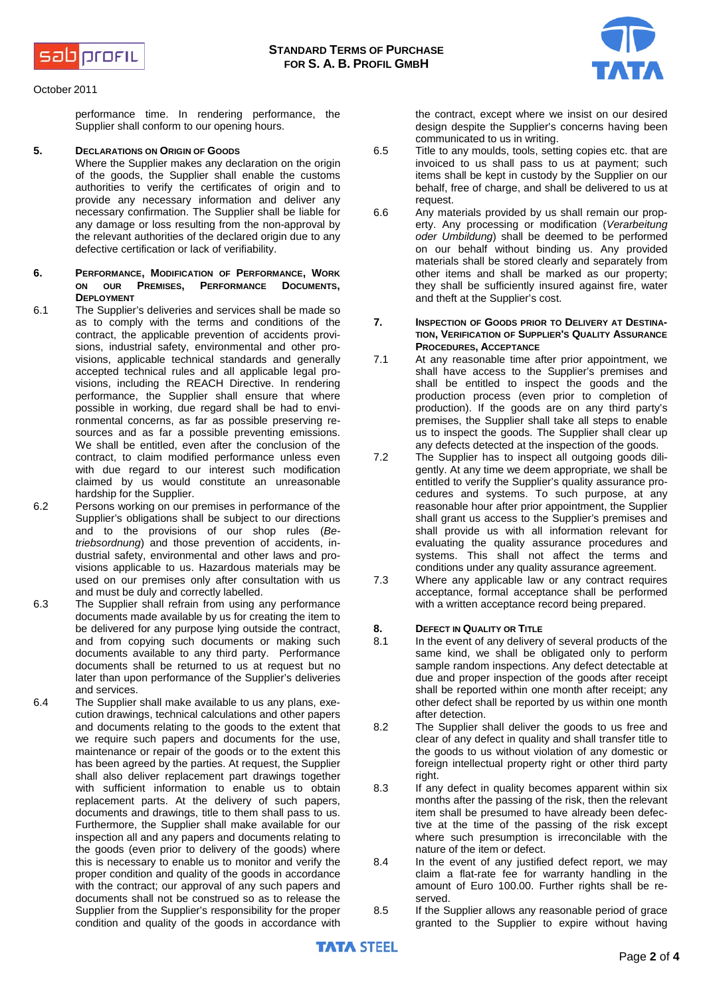



October 2011

performance time. In rendering performance, the Supplier shall conform to our opening hours.

### **5. DECLARATIONS ON ORIGIN OF GOODS**

Where the Supplier makes any declaration on the origin of the goods, the Supplier shall enable the customs authorities to verify the certificates of origin and to provide any necessary information and deliver any necessary confirmation. The Supplier shall be liable for any damage or loss resulting from the non-approval by the relevant authorities of the declared origin due to any defective certification or lack of verifiability.

- **6. PERFORMANCE, MODIFICATION OF PERFORMANCE, WORK ON OUR PREMISES, PERFORMANCE DOCUMENTS, DEPLOYMENT**
- 6.1 The Supplier's deliveries and services shall be made so as to comply with the terms and conditions of the contract, the applicable prevention of accidents provisions, industrial safety, environmental and other provisions, applicable technical standards and generally accepted technical rules and all applicable legal provisions, including the REACH Directive. In rendering performance, the Supplier shall ensure that where possible in working, due regard shall be had to environmental concerns, as far as possible preserving resources and as far a possible preventing emissions. We shall be entitled, even after the conclusion of the contract, to claim modified performance unless even with due regard to our interest such modification claimed by us would constitute an unreasonable hardship for the Supplier.
- 6.2 Persons working on our premises in performance of the Supplier's obligations shall be subject to our directions and to the provisions of our shop rules (*Betriebsordnung*) and those prevention of accidents, industrial safety, environmental and other laws and provisions applicable to us. Hazardous materials may be used on our premises only after consultation with us and must be duly and correctly labelled.
- 6.3 The Supplier shall refrain from using any performance documents made available by us for creating the item to be delivered for any purpose lying outside the contract, and from copying such documents or making such documents available to any third party. Performance documents shall be returned to us at request but no later than upon performance of the Supplier's deliveries and services.

6.4 The Supplier shall make available to us any plans, execution drawings, technical calculations and other papers and documents relating to the goods to the extent that we require such papers and documents for the use, maintenance or repair of the goods or to the extent this has been agreed by the parties. At request, the Supplier shall also deliver replacement part drawings together with sufficient information to enable us to obtain replacement parts. At the delivery of such papers, documents and drawings, title to them shall pass to us. Furthermore, the Supplier shall make available for our inspection all and any papers and documents relating to the goods (even prior to delivery of the goods) where this is necessary to enable us to monitor and verify the proper condition and quality of the goods in accordance with the contract; our approval of any such papers and documents shall not be construed so as to release the Supplier from the Supplier's responsibility for the proper condition and quality of the goods in accordance with

the contract, except where we insist on our desired design despite the Supplier's concerns having been communicated to us in writing.

- 6.5 Title to any moulds, tools, setting copies etc. that are invoiced to us shall pass to us at payment; such items shall be kept in custody by the Supplier on our behalf, free of charge, and shall be delivered to us at request.
- 6.6 Any materials provided by us shall remain our property. Any processing or modification (*Verarbeitung oder Umbildung*) shall be deemed to be performed on our behalf without binding us. Any provided materials shall be stored clearly and separately from other items and shall be marked as our property; they shall be sufficiently insured against fire, water and theft at the Supplier's cost.
- **7. INSPECTION OF GOODS PRIOR TO DELIVERY AT DESTINA-TION, VERIFICATION OF SUPPLIER'S QUALITY ASSURANCE PROCEDURES, ACCEPTANCE**
- 7.1 At any reasonable time after prior appointment, we shall have access to the Supplier's premises and shall be entitled to inspect the goods and the production process (even prior to completion of production). If the goods are on any third party's premises, the Supplier shall take all steps to enable us to inspect the goods. The Supplier shall clear up any defects detected at the inspection of the goods.
- 7.2 The Supplier has to inspect all outgoing goods diligently. At any time we deem appropriate, we shall be entitled to verify the Supplier's quality assurance procedures and systems. To such purpose, at any reasonable hour after prior appointment, the Supplier shall grant us access to the Supplier's premises and shall provide us with all information relevant for evaluating the quality assurance procedures and systems. This shall not affect the terms and conditions under any quality assurance agreement.
- 7.3 Where any applicable law or any contract requires acceptance, formal acceptance shall be performed with a written acceptance record being prepared.

# **8. DEFECT IN QUALITY OR TITLE**<br>8.1 In the event of any delivery

- In the event of any delivery of several products of the same kind, we shall be obligated only to perform sample random inspections. Any defect detectable at due and proper inspection of the goods after receipt shall be reported within one month after receipt; any other defect shall be reported by us within one month after detection.
- 8.2 The Supplier shall deliver the goods to us free and clear of any defect in quality and shall transfer title to the goods to us without violation of any domestic or foreign intellectual property right or other third party right.
- 8.3 If any defect in quality becomes apparent within six months after the passing of the risk, then the relevant item shall be presumed to have already been defective at the time of the passing of the risk except where such presumption is irreconcilable with the nature of the item or defect.
- 8.4 In the event of any justified defect report, we may claim a flat-rate fee for warranty handling in the amount of Euro 100.00. Further rights shall be reserved.
- 8.5 If the Supplier allows any reasonable period of grace granted to the Supplier to expire without having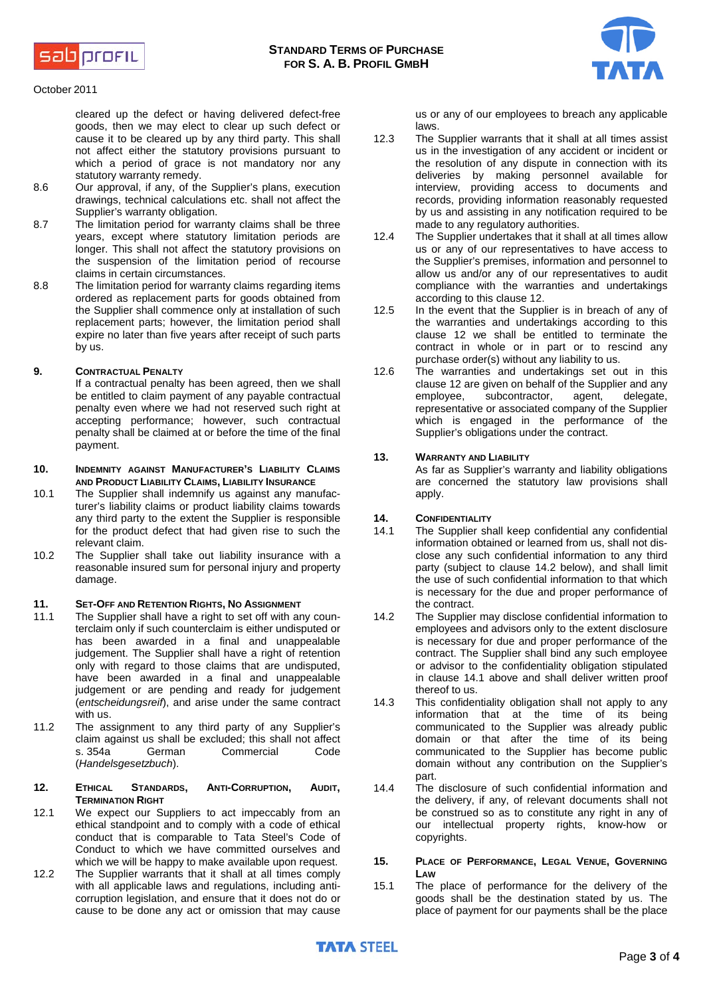



#### October 2011

cleared up the defect or having delivered defect-free goods, then we may elect to clear up such defect or cause it to be cleared up by any third party. This shall not affect either the statutory provisions pursuant to which a period of grace is not mandatory nor any statutory warranty remedy.

- 8.6 Our approval, if any, of the Supplier's plans, execution drawings, technical calculations etc. shall not affect the Supplier's warranty obligation.
- 8.7 The limitation period for warranty claims shall be three years, except where statutory limitation periods are longer. This shall not affect the statutory provisions on the suspension of the limitation period of recourse claims in certain circumstances.
- 8.8 The limitation period for warranty claims regarding items ordered as replacement parts for goods obtained from the Supplier shall commence only at installation of such replacement parts; however, the limitation period shall expire no later than five years after receipt of such parts by us.

### **9. CONTRACTUAL PENALTY**

If a contractual penalty has been agreed, then we shall be entitled to claim payment of any payable contractual penalty even where we had not reserved such right at accepting performance; however, such contractual penalty shall be claimed at or before the time of the final payment.

#### **10. INDEMNITY AGAINST MANUFACTURER'S LIABILITY CLAIMS AND PRODUCT LIABILITY CLAIMS, LIABILITY INSURANCE**

- 10.1 The Supplier shall indemnify us against any manufacturer's liability claims or product liability claims towards any third party to the extent the Supplier is responsible for the product defect that had given rise to such the relevant claim.
- 10.2 The Supplier shall take out liability insurance with a reasonable insured sum for personal injury and property damage.

#### **11. SET-OFF AND RETENTION RIGHTS, NO ASSIGNMENT**

- 11.1 The Supplier shall have a right to set off with any counterclaim only if such counterclaim is either undisputed or has been awarded in a final and unappealable judgement. The Supplier shall have a right of retention only with regard to those claims that are undisputed, have been awarded in a final and unappealable judgement or are pending and ready for judgement (*entscheidungsreif*), and arise under the same contract with us.
- 11.2 The assignment to any third party of any Supplier's claim against us shall be excluded; this shall not affect s. 354a German Commercial Code (*Handelsgesetzbuch*).

#### **12. ETHICAL STANDARDS, ANTI-CORRUPTION, AUDIT, TERMINATION RIGHT**

- 12.1 We expect our Suppliers to act impeccably from an ethical standpoint and to comply with a code of ethical conduct that is comparable to Tata Steel's Code of Conduct to which we have committed ourselves and which we will be happy to make available upon request.
- 12.2 The Supplier warrants that it shall at all times comply with all applicable laws and regulations, including anticorruption legislation, and ensure that it does not do or cause to be done any act or omission that may cause

us or any of our employees to breach any applicable laws.

- 12.3 The Supplier warrants that it shall at all times assist us in the investigation of any accident or incident or the resolution of any dispute in connection with its deliveries by making personnel available for interview, providing access to documents and records, providing information reasonably requested by us and assisting in any notification required to be made to any regulatory authorities.
- 12.4 The Supplier undertakes that it shall at all times allow us or any of our representatives to have access to the Supplier's premises, information and personnel to allow us and/or any of our representatives to audit compliance with the warranties and undertakings according to this clause 12.
- 12.5 In the event that the Supplier is in breach of any of the warranties and undertakings according to this clause 12 we shall be entitled to terminate the contract in whole or in part or to rescind any purchase order(s) without any liability to us.
- 12.6 The warranties and undertakings set out in this clause 12 are given on behalf of the Supplier and any<br>employee, subcontractor, agent, delegate, subcontractor, representative or associated company of the Supplier which is engaged in the performance of the Supplier's obligations under the contract.

### **13. WARRANTY AND LIABILITY**

As far as Supplier's warranty and liability obligations are concerned the statutory law provisions shall apply.

#### **14. CONFIDENTIALITY**

- 14.1 The Supplier shall keep confidential any confidential information obtained or learned from us, shall not disclose any such confidential information to any third party (subject to clause 14.2 below), and shall limit the use of such confidential information to that which is necessary for the due and proper performance of the contract.
- 14.2 The Supplier may disclose confidential information to employees and advisors only to the extent disclosure is necessary for due and proper performance of the contract. The Supplier shall bind any such employee or advisor to the confidentiality obligation stipulated in clause 14.1 above and shall deliver written proof thereof to us.
- 14.3 This confidentiality obligation shall not apply to any information that at the time of its being communicated to the Supplier was already public domain or that after the time of its being communicated to the Supplier has become public domain without any contribution on the Supplier's part.
- 14.4 The disclosure of such confidential information and the delivery, if any, of relevant documents shall not be construed so as to constitute any right in any of our intellectual property rights, know-how or copyrights.

#### **15. PLACE OF PERFORMANCE, LEGAL VENUE, GOVERNING LAW**

15.1 The place of performance for the delivery of the goods shall be the destination stated by us. The place of payment for our payments shall be the place